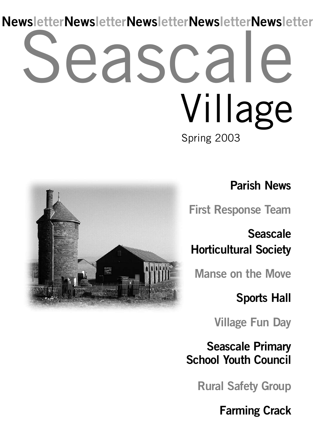## easca Spring 2003 Village **NewsletterNewsletterNewsletterNewsletterNewsletter**



**Parish News**

**First Response Team**

**Seascale Horticultural Society**

**Manse on the Move**

**Sports Hall**

**Village Fun Day**

**Seascale Primary School Youth Council**

**Rural Safety Group**

**Farming Crack**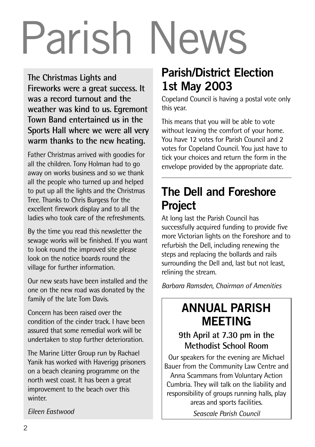# Parish News

**The Christmas Lights and Fireworks were a great success. It was a record turnout and the weather was kind to us. Egremont Town Band entertained us in the Sports Hall where we were all very warm thanks to the new heating.**

Father Christmas arrived with goodies for all the children. Tony Holman had to go away on works business and so we thank all the people who turned up and helped to put up all the lights and the Christmas Tree. Thanks to Chris Burgess for the excellent firework display and to all the ladies who took care of the refreshments.

By the time you read this newsletter the sewage works will be finished. If you want to look round the improved site please look on the notice boards round the village for further information.

Our new seats have been installed and the one on the new road was donated by the family of the late Tom Davis.

Concern has been raised over the condition of the cinder track. I have been assured that some remedial work will be undertaken to stop further deterioration.

The Marine Litter Group run by Rachael Yanik has worked with Haverigg prisoners on a beach cleaning programme on the north west coast. It has been a great improvement to the beach over this winter.

#### *Eileen Eastwood*

### **Parish/District Election 1st May 2003**

Copeland Council is having a postal vote only this year.

This means that you will be able to vote without leaving the comfort of your home. You have 12 votes for Parish Council and 2 votes for Copeland Council. You just have to tick your choices and return the form in the envelope provided by the appropriate date.

### **The Dell and Foreshore Project**

At long last the Parish Council has successfully acquired funding to provide five more Victorian lights on the Foreshore and to refurbish the Dell, including renewing the steps and replacing the bollards and rails surrounding the Dell and, last but not least, relining the stream.

*Barbara Ramsden, Chairman of Amenities*

### **ANNUAL PARISH MEETING**

#### **9th April at 7.30 pm in the Methodist School Room**

Our speakers for the evening are Michael Bauer from the Community Law Centre and Anna Scammans from Voluntary Action Cumbria. They will talk on the liability and responsibility of groups running halls, play areas and sports facilities.

*Seascale Parish Council*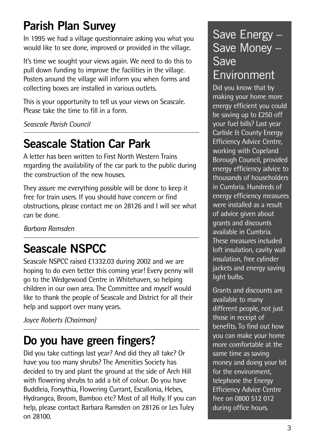### **Parish Plan Survey**

In 1995 we had a village questionnaire asking you what you would like to see done, improved or provided in the village.

It's time we sought your views again. We need to do this to pull down funding to improve the facilities in the village. Posters around the village will inform you when forms and collecting boxes are installed in various outlets.

This is your opportunity to tell us your views on Seascale. Please take the time to fill in a form.

*Seascale Parish Council*

### **Seascale Station Car Park**

A letter has been written to First North Western Trains regarding the availability of the car park to the public during the construction of the new houses.

They assure me everything possible will be done to keep it free for train users. If you should have concern or find obstructions, please contact me on 28126 and I will see what can be done.

*Barbara Ramsden*

### **Seascale NSPCC**

Seascale NSPCC raised £1332.03 during 2002 and we are hoping to do even better this coming year! Every penny will go to the Wedgewood Centre in Whitehaven, so helping children in our own area. The Committee and myself would like to thank the people of Seascale and District for all their help and support over many years.

*Joyce Roberts (Chairman)*

### **Do you have green fingers?**

Did you take cuttings last year? And did they all take? Or have you too many shrubs? The Amenities Society has decided to try and plant the ground at the side of Arch Hill with flowering shrubs to add a bit of colour. Do you have Buddleia, Forsythia, Flowering Currant, Escallonia, Hebes, Hydrangea, Broom, Bamboo etc? Most of all Holly. If you can help, please contact Barbara Ramsden on 28126 or Les Tuley on 28100.

#### Save Energy – Save Money – Save Environment

Did you know that by making your home more energy efficient you could be saving up to £250 off your fuel bills? Last year Carlisle & County Energy Efficiency Advice Centre, working with Copeland Borough Council, provided energy efficiency advice to thousands of householders in Cumbria. Hundreds of energy efficiency measures were installed as a result of advice given about grants and discounts available in Cumbria. These measures included loft insulation, cavity wall insulation, free cylinder jackets and energy saving light bulbs.

Grants and discounts are available to many different people, not just those in receipt of benefits. To find out how you can make your home more comfortable at the same time as saving money and doing your bit for the environment, telephone the Energy Efficiency Advice Centre free on 0800 512 012 during office hours.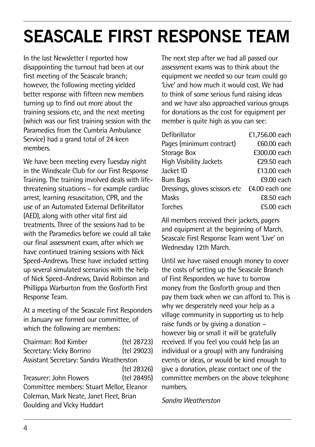### **SEASCALE FIRST RESPONSE TEAM**

In the last Newsletter I reported how disappointing the turnout had been at our first meeting of the Seascale branch; however, the following meeting yielded better response with fifteen new members turning up to find out more about the training sessions etc, and the next meeting (which was our first training session with the Paramedics from the Cumbria Ambulance Service) had a grand total of 24 keen members.

We have been meeting every Tuesday night in the Windscale Club for our First Response Training. The training involved deals with lifethreatening situations – for example cardiac arrest, learning resuscitation, CPR, and the use of an Automated External Defibrillator (AED), along with other vital first aid treatments. Three of the sessions had to be with the Paramedics before we could all take our final assessment exam, after which we have continued training sessions with Nick Speed-Andrews. These have included setting up several simulated scenarios with the help of Nick Speed-Andrews, David Robinson and Phillippa Warburton from the Gosforth First Response Team.

At a meeting of the Seascale First Responders in January we formed our committee, of which the following are members:

Chairman: Rod Kimber (tel 28723) Secretary: Vicky Borrino (tel 29023) Assistant Secretary: Sandra Weatherston (tel 28326) Treasurer: John Flowers (tel 28495) Committee members: Stuart Mellor, Eleanor Coleman, Mark Neate, Janet Fleet, Brian Goulding and Vicky Huddart

The next step after we had all passed our assessment exams was to think about the equipment we needed so our team could go 'Live' and how much it would cost. We had to think of some serious fund raising ideas and we have also approached various groups for donations as the cost for equipment per member is quite high as you can see:

| Defibrillator                                 | £1,756.00 each |
|-----------------------------------------------|----------------|
| Pages (minimum contract)                      | £60.00 each    |
| Storage Box                                   | £300.00 each   |
| High Visibility Jackets                       | £29.50 each    |
| Jacket ID                                     | £13.00 each    |
| <b>Bum Bags</b>                               | £9.00 each     |
| Dressings, gloves scissors etc £4.00 each one |                |
| Masks                                         | £8.50 each     |
| Torches                                       | £5.00 each     |
|                                               |                |

All members received their jackets, pagers and equipment at the beginning of March. Seascale First Response Team went 'Live' on Wednesday 12th March.

Until we have raised enough money to cover the costs of setting up the Seascale Branch of First Responders we have to borrow money from the Gosforth group and then pay them back when we can afford to. This is why we desperately need your help as a village community in supporting us to help raise funds or by giving a donation – however big or small it will be gratefully received. If you feel you could help (as an individual or a group) with any fundraising events or ideas, or would be kind enough to give a donation, please contact one of the committee members on the above telephone numbers.

#### *Sandra Weatherston*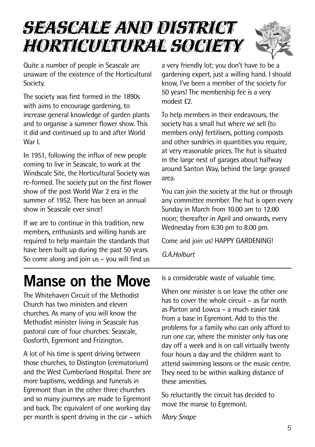### Seascale and District Horticultural Society



Quite a number of people in Seascale are unaware of the existence of the Horticultural Society.

The society was first formed in the 1890s with aims to encourage gardening, to increase general knowledge of garden plants and to organise a summer flower show. This it did and continued up to and after World War I.

In 1951, following the influx of new people coming to live in Seascale, to work at the Windscale Site, the Horticultural Society was re-formed. The society put on the first flower show of the post World War 2 era in the summer of 1952. There has been an annual show in Seascale ever since!

If we are to continue in this tradition, new members, enthusiasts and willing hands are required to help maintain the standards that have been built up during the past 50 years. So come along and join us – you will find us a very friendly lot; you don't have to be a gardening expert, just a willing hand. I should know, I've been a member of the society for 50 years! The membership fee is a very modest £2.

To help members in their endeavours, the society has a small hut where we sell (to members only) fertilisers, potting composts and other sundries in quantities you require, at very reasonable prices. The hut is situated in the large nest of garages about halfway around Santon Way, behind the large grassed area.

You can join the society at the hut or through any committee member. The hut is open every Sunday in March from 10.00 am to 12.00 noon; thereafter in April and onwards, every Wednesday from 6.30 pm to 8.00 pm.

Come and join us! HAPPY GARDENING!

*G.A.Holburt*

### **Manse on the Move**

The Whitehaven Circuit of the Methodist Church has two ministers and eleven churches. As many of you will know the Methodist minister living in Seascale has pastoral care of four churches: Seascale, Gosforth, Egremont and Frizington.

A lot of his time is spent driving between those churches, to Distington (crematorium) and the West Cumberland Hospital. There are more baptisms, weddings and funerals in Egremont than in the other three churches and so many journeys are made to Egremont and back. The equivalent of one working day per month is spent driving in the car – which is a considerable waste of valuable time.

When one minister is on leave the other one has to cover the whole circuit – as far north as Parton and Lowca – a much easier task from a base in Egremont. Add to this the problems for a family who can only afford to run one car, where the minister only has one day off a week and is on call virtually twenty four hours a day and the children want to attend swimming lessons or the music centre. They need to be within walking distance of these amenities.

So reluctantly the circuit has decided to move the manse to Egremont.

*Mary Snape*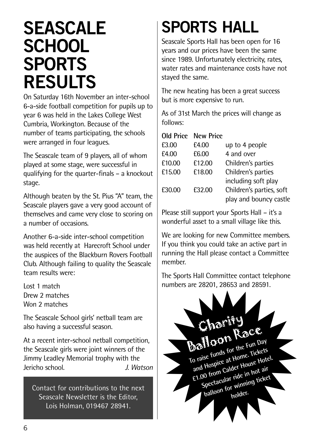### **SEASCALE SCHOOL SPORTS RESULTS**

On Saturday 16th November an inter-school 6-a-side football competition for pupils up to year 6 was held in the Lakes College West Cumbria, Workington. Because of the number of teams participating, the schools were arranged in four leagues.

The Seascale team of 9 players, all of whom played at some stage, were successful in qualifying for the quarter-finals – a knockout stage.

Although beaten by the St. Pius "A" team, the Seascale players gave a very good account of themselves and came very close to scoring on a number of occasions.

Another 6-a-side inter-school competition was held recently at Harecroft School under the auspices of the Blackburn Rovers Football Club. Although failing to quality the Seascale team results were:

Lost 1 match Drew 2 matches Won 2 matches

The Seascale School girls' netball team are also having a successful season.

At a recent inter-school netball competition, the Seascale girls were joint winners of the Jimmy Leadley Memorial trophy with the Jericho school. *J. Watson*

Contact for contributions to the next Seascale Newsletter is the Editor, Lois Holman, 019467 28941.

### **SPORTS HALL**

Seascale Sports Hall has been open for 16 years and our prices have been the same since 1989. Unfortunately electricity, rates, water rates and maintenance costs have not stayed the same.

The new heating has been a great success but is more expensive to run.

As of 31st March the prices will change as follows:

**Old Price New Price**

| £3.00  | £4.00  | up to 4 people           |
|--------|--------|--------------------------|
| £4.00  | £6.00  | 4 and over               |
| £10.00 | £12.00 | Children's parties       |
| £15.00 | £18.00 | Children's parties       |
|        |        | including soft play      |
| £30.00 | £32.00 | Children's parties, soft |
|        |        | play and bouncy castle   |
|        |        |                          |

Please still support your Sports Hall – it's a wonderful asset to a small village like this.

We are looking for new Committee members. If you think you could take an active part in running the Hall please contact a Committee member.

The Sports Hall Committee contact telephone numbers are 28201, 28653 and 28591.

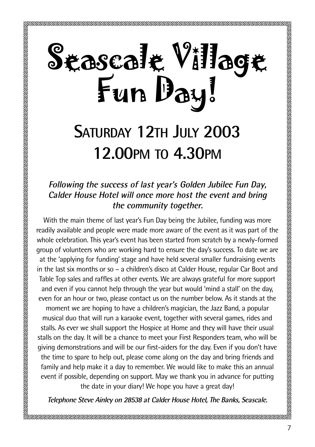## Seascale Village Fun Day!

### **SATURDAY 12TH JULY 2003 12.00PM TO 4.30PM**

#### **Following the success of last year's Golden Jubilee Fun Day, Calder House Hotel will once more host the event and bring the community together.**

With the main theme of last year's Fun Day being the Jubilee, funding was more readily available and people were made more aware of the event as it was part of the whole celebration. This year's event has been started from scratch by a newly-formed group of volunteers who are working hard to ensure the day's success. To date we are at the 'applying for funding' stage and have held several smaller fundraising events in the last six months or so – a children's disco at Calder House, regular Car Boot and Table Top sales and raffles at other events. We are always grateful for more support and even if you cannot help through the year but would 'mind a stall' on the day, even for an hour or two, please contact us on the number below. As it stands at the moment we are hoping to have a children's magician, the Jazz Band, a popular musical duo that will run a karaoke event, together with several games, rides and stalls. As ever we shall support the Hospice at Home and they will have their usual stalls on the day. It will be a chance to meet your First Responders team, who will be giving demonstrations and will be our first-aiders for the day. Even if you don't have the time to spare to help out, please come along on the day and bring friends and family and help make it a day to remember. We would like to make this an annual event if possible, depending on support. May we thank you in advance for putting the date in your diary! We hope you have a great day!

**Telephone Steve Ainley on 28538 at Calder House Hotel, The Banks, Seascale.**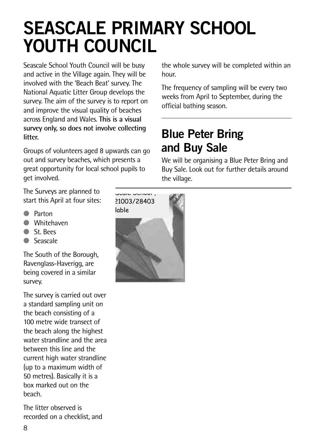### **SEASCALE PRIMARY SCHOOL YOUTH COUNCIL**

Seascale School Youth Council will be busy and active in the Village again. They will be involved with the 'Beach Beat' survey. The National Aquatic Litter Group develops the survey. The aim of the survey is to report on and improve the visual quality of beaches across England and Wales. **This is a visual** G Cards **survey only, so does not involve collecting litter.**

Groups of volunteers aged 8 upwards can go out and survey beaches, which presents a great opportunity for local school pupils to get involved.

The Surveys are planned to start this April at four sites: S 21003/28403

- Parton
- Whitehaven
- St. Bees
- **Seascale**

The South of the Borough, Ravenglass-Haverigg, are being covered in a similar survey.

The survey is carried out over a standard sampling unit on the beach consisting of a 100 metre wide transect of the beach along the highest water strandline and the area between this line and the current high water strandline (up to a maximum width of 50 metres). Basically it is a box marked out on the beach.

The litter observed is recorded on a checklist, and

the whole survey will be completed within an hour.

 official bathing season. The frequency of sampling will be every two weeks from April to September, during the

### **Blue Peter Bring and Buy Sale**

We will be organising a Blue Peter Bring and Buy Sale. Look out for further details around the village.

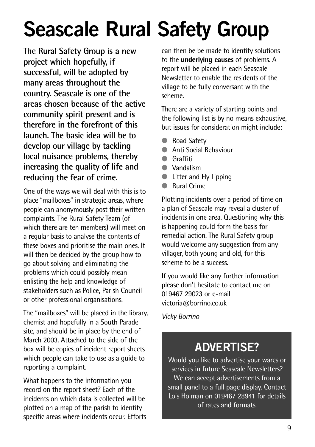## **Seascale Rural Safety Group**

**The Rural Safety Group is a new project which hopefully, if successful, will be adopted by many areas throughout the country. Seascale is one of the areas chosen because of the active community spirit present and is therefore in the forefront of this launch. The basic idea will be to develop our village by tackling local nuisance problems, thereby increasing the quality of life and reducing the fear of crime.**

One of the ways we will deal with this is to place "mailboxes" in strategic areas, where people can anonymously post their written complaints. The Rural Safety Team (of which there are ten members) will meet on a regular basis to analyse the contents of these boxes and prioritise the main ones. It will then be decided by the group how to go about solving and eliminating the problems which could possibly mean enlisting the help and knowledge of stakeholders such as Police, Parish Council or other professional organisations.

The "mailboxes" will be placed in the library, chemist and hopefully in a South Parade site, and should be in place by the end of March 2003. Attached to the side of the box will be copies of incident report sheets which people can take to use as a guide to reporting a complaint.

What happens to the information you record on the report sheet? Each of the incidents on which data is collected will be plotted on a map of the parish to identify specific areas where incidents occur. Efforts

can then be be made to identify solutions to the **underlying causes** of problems. A report will be placed in each Seascale Newsletter to enable the residents of the village to be fully conversant with the scheme.

There are a variety of starting points and the following list is by no means exhaustive, but issues for consideration might include:

- **Road Safety**
- Anti Social Behaviour
- Graffiti
- Vandalism
- Litter and Fly Tipping
- **Rural Crime**

Plotting incidents over a period of time on a plan of Seascale may reveal a cluster of incidents in one area. Questioning why this is happening could form the basis for remedial action. The Rural Safety group would welcome any suggestion from any villager, both young and old, for this scheme to be a success.

If you would like any further information please don't hesitate to contact me on 019467 29023 or e-mail victoria@borrino.co.uk

*Vicky Borrino*

### **ADVERTISE?**

Would you like to advertise your wares or services in future Seascale Newsletters? We can accept advertisements from a small panel to a full page display. Contact Lois Holman on 019467 28941 for details of rates and formats.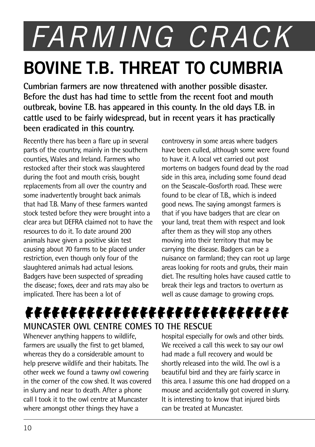## *FARMING CRACK* **BOVINE T.B. THREAT TO CUMBRIA**

**Cumbrian farmers are now threatened with another possible disaster. Before the dust has had time to settle from the recent foot and mouth outbreak, bovine T.B. has appeared in this county. In the old days T.B. in cattle used to be fairly widespread, but in recent years it has practically been eradicated in this country.**

Recently there has been a flare up in several parts of the country, mainly in the southern counties, Wales and Ireland. Farmers who restocked after their stock was slaughtered during the foot and mouth crisis, bought replacements from all over the country and some inadvertently brought back animals that had T.B. Many of these farmers wanted stock tested before they were brought into a clear area but DEFRA claimed not to have the resources to do it. To date around 200 animals have given a positive skin test causing about 70 farms to be placed under restriction, even though only four of the slaughtered animals had actual lesions. Badgers have been suspected of spreading the disease; foxes, deer and rats may also be implicated. There has been a lot of

controversy in some areas where badgers have been culled, although some were found to have it. A local vet carried out post mortems on badgers found dead by the road side in this area, including some found dead on the Seascale-Gosforth road. These were found to be clear of TR, which is indeed good news. The saying amongst farmers is that if you have badgers that are clear on your land, treat them with respect and look after them as they will stop any others moving into their territory that may be carrying the disease. Badgers can be a nuisance on farmland; they can root up large areas looking for roots and grubs, their main diet. The resulting holes have caused cattle to break their legs and tractors to overturn as well as cause damage to growing crops.

#### **MUNCASTER OWL CENTRE COMES TO THE RESCUE** kkkkkkkkkkkkkkkkkkkkkkkkkkkkkk

Whenever anything happens to wildlife, farmers are usually the first to get blamed, whereas they do a considerable amount to help preserve wildlife and their habitats. The other week we found a tawny owl cowering in the corner of the cow shed. It was covered in slurry and near to death. After a phone call I took it to the owl centre at Muncaster where amongst other things they have a

hospital especially for owls and other birds. We received a call this week to say our owl had made a full recovery and would be shortly released into the wild. The owl is a beautiful bird and they are fairly scarce in this area. I assume this one had dropped on a mouse and accidentally got covered in slurry. It is interesting to know that injured birds can be treated at Muncaster.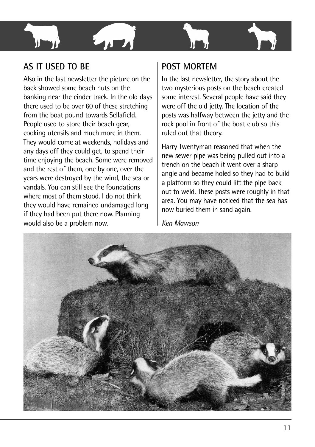

#### **AS IT USED TO BE**

Also in the last newsletter the picture on the back showed some beach huts on the banking near the cinder track. In the old days there used to be over 60 of these stretching from the boat pound towards Sellafield. People used to store their beach gear, cooking utensils and much more in them. They would come at weekends, holidays and any days off they could get, to spend their time enjoying the beach. Some were removed and the rest of them, one by one, over the years were destroyed by the wind, the sea or vandals. You can still see the foundations where most of them stood. I do not think they would have remained undamaged long if they had been put there now. Planning would also be a problem now.

#### **POST MORTEM**

In the last newsletter, the story about the two mysterious posts on the beach created some interest. Several people have said they were off the old jetty. The location of the posts was halfway between the jetty and the rock pool in front of the boat club so this ruled out that theory.

Harry Twentyman reasoned that when the new sewer pipe was being pulled out into a trench on the beach it went over a sharp angle and became holed so they had to build a platform so they could lift the pipe back out to weld. These posts were roughly in that area. You may have noticed that the sea has now buried them in sand again.

*Ken Mawson*